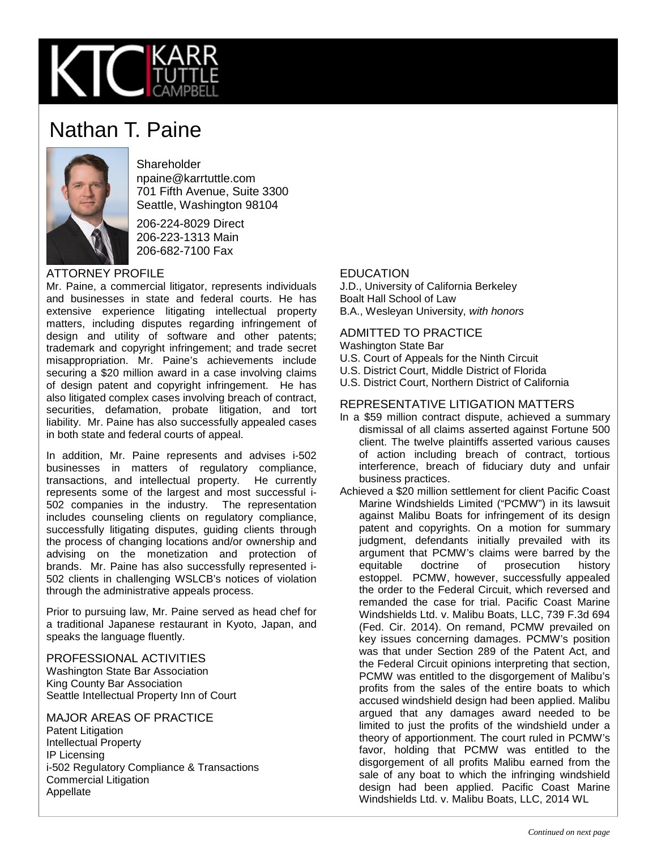

# Nathan T. Paine



**Shareholder** npaine@karrtuttle.com 701 Fifth Avenue, Suite 3300 Seattle, Washington 98104

206-224-8029 Direct 206-223-1313 Main 206-682-7100 Fax

## ATTORNEY PROFILE

Mr. Paine, a commercial litigator, represents individuals and businesses in state and federal courts. He has extensive experience litigating intellectual property matters, including disputes regarding infringement of design and utility of software and other patents; trademark and copyright infringement; and trade secret misappropriation. Mr. Paine's achievements include securing a \$20 million award in a case involving claims of design patent and copyright infringement. He has also litigated complex cases involving breach of contract, securities, defamation, probate litigation, and tort liability. Mr. Paine has also successfully appealed cases in both state and federal courts of appeal.

In addition, Mr. Paine represents and advises i-502 businesses in matters of regulatory compliance, transactions, and intellectual property. He currently represents some of the largest and most successful i-502 companies in the industry. The representation includes counseling clients on regulatory compliance, successfully litigating disputes, guiding clients through the process of changing locations and/or ownership and advising on the monetization and protection of brands. Mr. Paine has also successfully represented i-502 clients in challenging WSLCB's notices of violation through the administrative appeals process.

Prior to pursuing law, Mr. Paine served as head chef for a traditional Japanese restaurant in Kyoto, Japan, and speaks the language fluently.

#### PROFESSIONAL ACTIVITIES

Washington State Bar Association King County Bar Association Seattle Intellectual Property Inn of Court

MAJOR AREAS OF PRACTICE Patent Litigation Intellectual Property IP Licensing i-502 Regulatory Compliance & Transactions Commercial Litigation Appellate

## EDUCATION

J.D., University of California Berkeley Boalt Hall School of Law B.A., Wesleyan University, *with honors*

# ADMITTED TO PRACTICE

Washington State Bar

- U.S. Court of Appeals for the Ninth Circuit
- U.S. District Court, Middle District of Florida
- U.S. District Court, Northern District of California

#### REPRESENTATIVE LITIGATION MATTERS

- In a \$59 million contract dispute, achieved a summary dismissal of all claims asserted against Fortune 500 client. The twelve plaintiffs asserted various causes of action including breach of contract, tortious interference, breach of fiduciary duty and unfair business practices.
- Achieved a \$20 million settlement for client Pacific Coast Marine Windshields Limited ("PCMW") in its lawsuit against Malibu Boats for infringement of its design patent and copyrights. On a motion for summary judgment, defendants initially prevailed with its argument that PCMW's claims were barred by the equitable doctrine of prosecution history estoppel. PCMW, however, successfully appealed the order to the Federal Circuit, which reversed and remanded the case for trial. Pacific Coast Marine Windshields Ltd. v. Malibu Boats, LLC, 739 F.3d 694 (Fed. Cir. 2014). On remand, PCMW prevailed on key issues concerning damages. PCMW's position was that under Section 289 of the Patent Act, and the Federal Circuit opinions interpreting that section, PCMW was entitled to the disgorgement of Malibu's profits from the sales of the entire boats to which accused windshield design had been applied. Malibu argued that any damages award needed to be limited to just the profits of the windshield under a theory of apportionment. The court ruled in PCMW's favor, holding that PCMW was entitled to the disgorgement of all profits Malibu earned from the sale of any boat to which the infringing windshield design had been applied. Pacific Coast Marine Windshields Ltd. v. Malibu Boats, LLC, 2014 WL